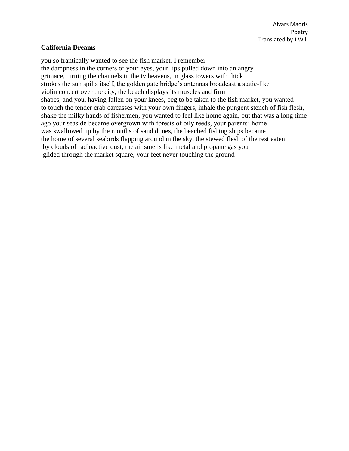### **California Dreams**

you so frantically wanted to see the fish market, I remember the dampness in the corners of your eyes, your lips pulled down into an angry grimace, turning the channels in the tv heavens, in glass towers with thick strokes the sun spills itself, the golden gate bridge's antennas broadcast a static-like violin concert over the city, the beach displays its muscles and firm shapes, and you, having fallen on your knees, beg to be taken to the fish market, you wanted to touch the tender crab carcasses with your own fingers, inhale the pungent stench of fish flesh, shake the milky hands of fishermen, you wanted to feel like home again, but that was a long time ago your seaside became overgrown with forests of oily reeds, your parents' home was swallowed up by the mouths of sand dunes, the beached fishing ships became the home of several seabirds flapping around in the sky, the stewed flesh of the rest eaten by clouds of radioactive dust, the air smells like metal and propane gas you glided through the market square, your feet never touching the ground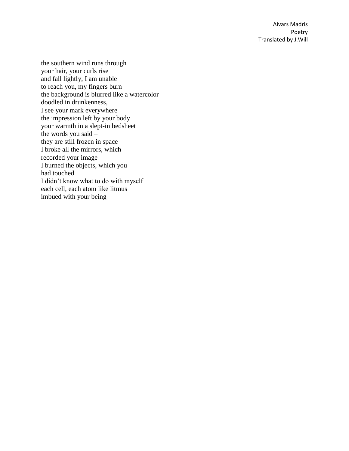the southern wind runs through your hair, your curls rise and fall lightly, I am unable to reach you, my fingers burn the background is blurred like a watercolor doodled in drunkenness, I see your mark everywhere the impression left by your body your warmth in a slept -in bedsheet the words you said – they are still frozen in space I broke all the mirrors, which recorded your image I burned the objects, which you had touched I didn't know what to do with myself each cell, each atom like litmus imbued with your being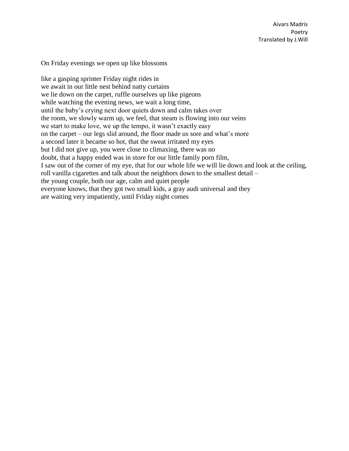On Friday evenings we open up like blossoms

like a gasping sprinter Friday night rides in we await in our little nest behind natty curtains we lie down on the carpet, ruffle ourselves up like pigeons while watching the evening news, we wait a long time, until the baby's crying next door quiets down and calm takes over the room, we slowly warm up, we feel, that steam is flowing into our veins we start to make love, we up the tempo, it wasn't exactly easy on the carpet – our legs slid around, the floor made us sore and what's more a second later it became so hot, that the sweat irritated my eyes but I did not give up, you were close to climaxing, there was no doubt, that a happy ended was in store for our little family porn film, I saw out of the corner of my eye, that for our whole life we will lie down and look at the ceiling, roll vanilla cigarettes and talk about the neighbors down to the smallest detail – the young couple, both our age, calm and quiet people everyone knows, that they got two small kids, a gray audi universal and they are waiting very impatiently, until Friday night comes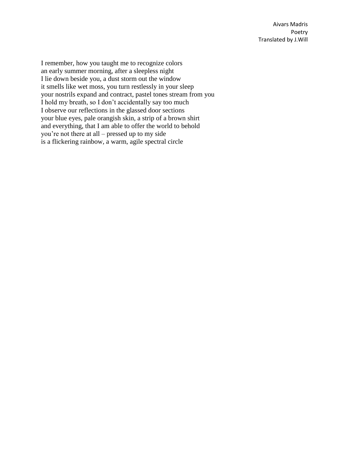I remember, how you taught me to recognize colors an early summer morning, after a sleepless night I lie down beside you, a dust storm out the window it smells like wet moss, you turn restlessly in your sleep your nostrils expand and contract, pastel tones stream from you I hold my breath, so I don't accidentally say too much I observe our reflections in the glassed door sections your blue eyes, pale orangish skin, a strip of a brown shirt and everything, that I am able to offer the world to behold you're not there at all – pressed up to my side is a flickering rainbow, a warm, agile spectral circle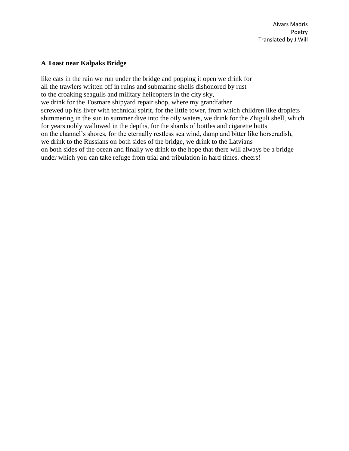# **A Toast near Kalpaks Bridge**

like cats in the rain we run under the bridge and popping it open we drink for all the trawlers written off in ruins and submarine shells dishonored by rust to the croaking seagulls and military helicopters in the city sky, we drink for the Tosmare shipyard repair shop, where my grandfather screwed up his liver with technical spirit, for the little tower, from which children like droplets shimmering in the sun in summer dive into the oily waters, we drink for the Zhiguli shell, which for years nobly wallowed in the depths, for the shards of bottles and cigarette butts on the channel's shores, for the eternally restless sea wind, damp and bitter like horseradish, we drink to the Russians on both sides of the bridge, we drink to the Latvians on both sides of the ocean and finally we drink to the hope that there will always be a bridge under which you can take refuge from trial and tribulation in hard times. cheers!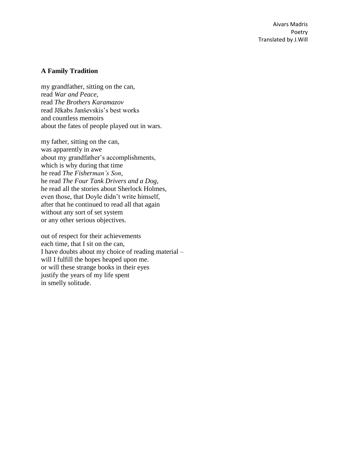#### **A Family Tradition**

my grandfather, sitting on the can, read *War and Peace*, read *The Brothers Karamazov* read Jēkabs Janševskis's best works and countless memoirs about the fates of people played out in wars.

my father, sitting on the can, was apparently in awe about my grandfather's accomplishments, which is why during that time he read *The Fisherman's Son*, he read *The Four Tank Drivers and a Dog*, he read all the stories about Sherlock Holmes, even those, that Doyle didn't write himself, after that he continued to read all that again without any sort of set system or any other serious objectives.

out of respect for their achievements each time, that I sit on the can, I have doubts about my choice of reading material – will I fulfill the hopes heaped upon me. or will these strange books in their eyes justify the years of my life spent in smelly solitude.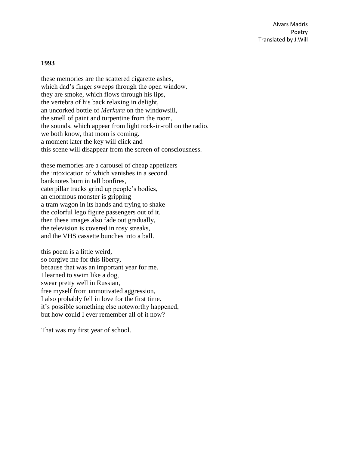#### **1993**

these memories are the scattered cigarette ashes, which dad's finger sweeps through the open window. they are smoke, which flows through his lips, the vertebra of his back relaxing in delight, an uncorked bottle of *Merkura* on the windowsill, the smell of paint and turpentine from the room, the sounds, which appear from light rock-in-roll on the radio. we both know, that mom is coming. a moment later the key will click and this scene will disappear from the screen of consciousness.

these memories are a carousel of cheap appetizers the intoxication of which vanishes in a second. banknotes burn in tall bonfires, caterpillar tracks grind up people's bodies, an enormous monster is gripping a tram wagon in its hands and trying to shake the colorful lego figure passengers out of it. then these images also fade out gradually, the television is covered in rosy streaks, and the VHS cassette bunches into a ball.

this poem is a little weird, so forgive me for this liberty, because that was an important year for me. I learned to swim like a dog, swear pretty well in Russian, free myself from unmotivated aggression, I also probably fell in love for the first time. it's possible something else noteworthy happened, but how could I ever remember all of it now?

That was my first year of school.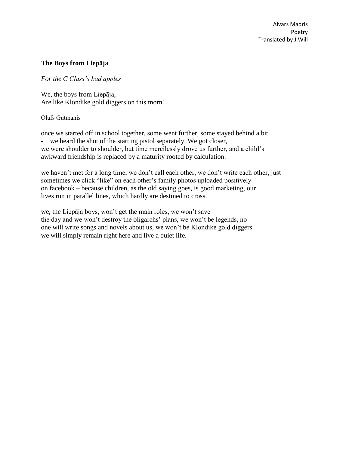# **The Boys from Liepāja**

# *For the C Class's bad apples*

We, the boys from Liepāja, Are like Klondike gold diggers on this morn'

### Olafs Gūtmanis

once we started off in school together, some went further, some stayed behind a bit - we heard the shot of the starting pistol separately. We got closer, we were shoulder to shoulder, but time mercilessly drove us further, and a child's awkward friendship is replaced by a maturity rooted by calculation.

we haven't met for a long time, we don't call each other, we don't write each other, just sometimes we click "like" on each other's family photos uploaded positively on facebook – because children, as the old saying goes, is good marketing, our lives run in parallel lines, which hardly are destined to cross.

we, the Liepāja boys, won't get the main roles, we won't save the day and we won't destroy the oligarchs' plans, we won't be legends, no one will write songs and novels about us, we won't be Klondike gold diggers. we will simply remain right here and live a quiet life.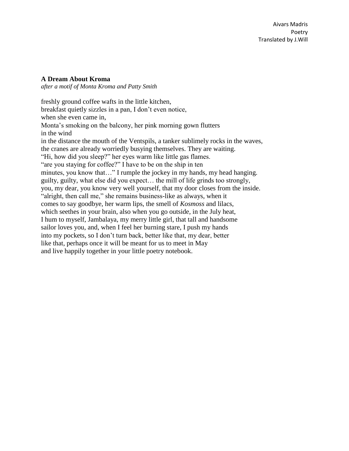# **A Dream About Kroma**

*after a motif of Monta Kroma and Patty Smith*

freshly ground coffee wafts in the little kitchen, breakfast quietly sizzles in a pan, I don't even notice, when she even came in, Monta's smoking on the balcony, her pink morning gown flutters in the wind in the distance the mouth of the Ventspils, a tanker sublimely rocks in the waves, the cranes are already worriedly busying themselves. They are waiting. "Hi, how did you sleep?" her eyes warm like little gas flames. "are you staying for coffee?" I have to be on the ship in ten minutes, you know that…" I rumple the jockey in my hands, my head hanging. guilty, guilty, what else did you expect… the mill of life grinds too strongly, you, my dear, you know very well yourself, that my door closes from the inside. "alright, then call me," she remains business-like as always, when it comes to say goodbye, her warm lips, the smell of *Kosmoss* and lilacs, which seethes in your brain, also when you go outside, in the July heat, I hum to myself, Jambalaya, my merry little girl, that tall and handsome sailor loves you, and, when I feel her burning stare, I push my hands into my pockets, so I don't turn back, better like that, my dear, better like that, perhaps once it will be meant for us to meet in May and live happily together in your little poetry notebook.